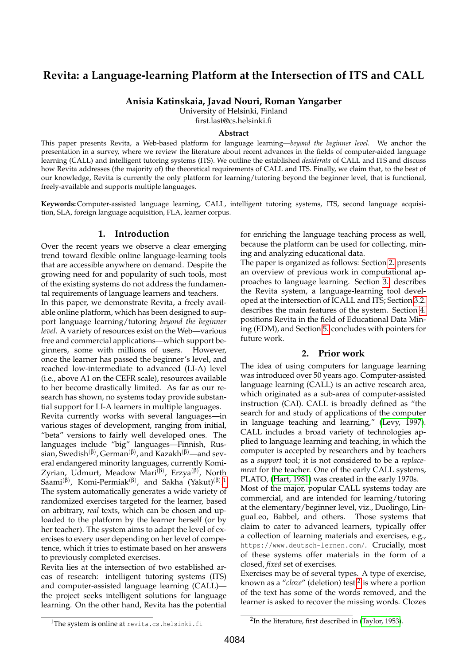# **Revita: a Language-learning Platform at the Intersection of ITS and CALL**

**Anisia Katinskaia, Javad Nouri, Roman Yangarber**

University of Helsinki, Finland

first.last@cs.helsinki.fi

#### **Abstract**

This paper presents Revita, a Web-based platform for language learning—*beyond the beginner level*. We anchor the presentation in a survey, where we review the literature about recent advances in the fields of computer-aided language learning (CALL) and intelligent tutoring systems (ITS). We outline the established *desiderata* of CALL and ITS and discuss how Revita addresses (the majority of) the theoretical requirements of CALL and ITS. Finally, we claim that, to the best of our knowledge, Revita is currently the only platform for learning/tutoring beyond the beginner level, that is functional, freely-available and supports multiple languages.

**Keywords:** Computer-assisted language learning, CALL, intelligent tutoring systems, ITS, second language acquisition, SLA, foreign language acquisition, FLA, learner corpus.

### **1. Introduction**

Over the recent years we observe a clear emerging trend toward flexible online language-learning tools that are accessible anywhere on demand. Despite the growing need for and popularity of such tools, most of the existing systems do not address the fundamental requirements of language learners and teachers.

In this paper, we demonstrate Revita, a freely available online platform, which has been designed to support language learning/tutoring *beyond the beginner level*. A variety of resources exist on the Web—various free and commercial applications—which support beginners, some with millions of users. However, once the learner has passed the beginner's level, and reached low-intermediate to advanced (LI-A) level (i.e., above A1 on the CEFR scale), resources available to her become drastically limited. As far as our research has shown, no systems today provide substantial support for LI-A learners in multiple languages.

Revita currently works with several languages—in various stages of development, ranging from initial, "beta" versions to fairly well developed ones. The languages include "big" languages—Finnish, Russian, Swedish $^{(\beta)}$ , German $^{(\beta)}$ , and Kazakh $^{(\beta)}$ —and several endangered minority languages, currently Komi-Zyrian, Udmurt, Meadow Mari<sup>(β)</sup>, Erzya<sup>(β)</sup>, North Saami $^{(\beta)}$ , Komi-Permiak $^{(\beta)}$ , and Sakha (Yakut) $^{(\beta)}$ .<sup>[1](#page-0-0)</sup> The system automatically generates a wide variety of randomized exercises targeted for the learner, based on arbitrary, *real* texts, which can be chosen and uploaded to the platform by the learner herself (or by her teacher). The system aims to adapt the level of exercises to every user depending on her level of competence, which it tries to estimate based on her answers to previously completed exercises.

Revita lies at the intersection of two established areas of research: intelligent tutoring systems (ITS) and computer-assisted language learning (CALL) the project seeks intelligent solutions for language learning. On the other hand, Revita has the potential

for enriching the language teaching process as well, because the platform can be used for collecting, mining and analyzing educational data.

The paper is organized as follows: Section [2.](#page-0-1) presents an overview of previous work in computational approaches to language learning. Section [3.](#page-2-0) describes the Revita system, a language-learning tool developed at the intersection of ICALL and ITS; Section [3.2.](#page-3-0) describes the main features of the system. Section [4.](#page-6-0) positions Revita in the field of Educational Data Mining (EDM), and Section [5.](#page-7-0) concludes with pointers for future work.

### **2. Prior work**

<span id="page-0-1"></span>The idea of using computers for language learning was introduced over 50 years ago. Computer-assisted language learning (CALL) is an active research area, which originated as a sub-area of computer-assisted instruction (CAI). CALL is broadly defined as "the search for and study of applications of the computer in language teaching and learning," [\(Levy, 1997\)](#page-8-0). CALL includes a broad variety of technologies applied to language learning and teaching, in which the computer is accepted by researchers and by teachers as a *support* tool; it is not considered to be a *replacement* for the teacher. One of the early CALL systems, PLATO, [\(Hart, 1981\)](#page-8-1) was created in the early 1970s.

Most of the major, popular CALL systems today are commercial, and are intended for learning/tutoring at the elementary/beginner level, viz., Duolingo, LinguaLeo, Babbel, and others. Those systems that claim to cater to advanced learners, typically offer a collection of learning materials and exercises, e.g., https://www.deutsch-lernen.com/. Crucially, most of these systems offer materials in the form of a closed, *fixed* set of exercises.

Exercises may be of several types. A type of exercise, known as a "*cloze*" (deletion) test,<sup>[2](#page-0-2)</sup> is where a portion of the text has some of the words removed, and the learner is asked to recover the missing words. Clozes

<span id="page-0-0"></span><sup>&</sup>lt;sup>1</sup>The system is online at revita.cs.helsinki.fi

<span id="page-0-2"></span><sup>&</sup>lt;sup>2</sup>In the literature, first described in [\(Taylor, 1953\)](#page-9-0).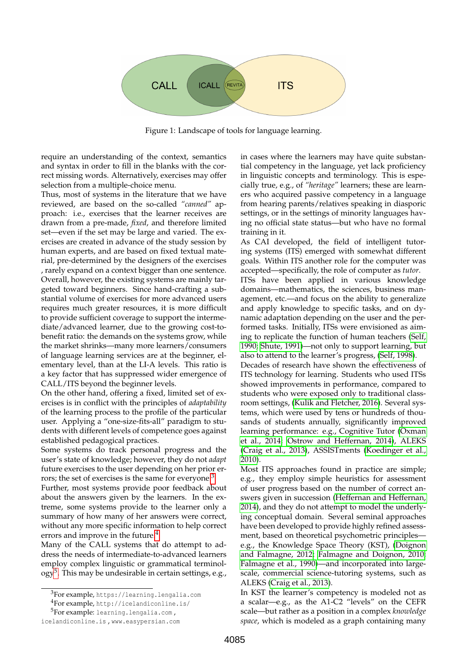

<span id="page-1-3"></span>Figure 1: Landscape of tools for language learning.

require an understanding of the context, semantics and syntax in order to fill in the blanks with the correct missing words. Alternatively, exercises may offer selection from a multiple-choice menu.

Thus, most of systems in the literature that we have reviewed, are based on the so-called *"canned"* approach: i.e., exercises that the learner receives are drawn from a pre-made, *fixed*, and therefore limited set—even if the set may be large and varied. The exercises are created in advance of the study session by human experts, and are based on fixed textual material, pre-determined by the designers of the exercises , rarely expand on a context bigger than one sentence. Overall, however, the existing systems are mainly targeted toward beginners. Since hand-crafting a substantial volume of exercises for more advanced users requires much greater resources, it is more difficult to provide sufficient coverage to support the intermediate/advanced learner, due to the growing cost-tobenefit ratio: the demands on the systems grow, while the market shrinks—many more learners/consumers of language learning services are at the beginner, elementary level, than at the LI-A levels. This ratio is a key factor that has suppressed wider emergence of CALL/ITS beyond the beginner levels.

On the other hand, offering a fixed, limited set of exercises is in conflict with the principles of *adaptability* of the learning process to the profile of the particular user. Applying a "one-size-fits-all" paradigm to students with different levels of competence goes against established pedagogical practices.

Some systems do track personal progress and the user's state of knowledge; however, they do not *adapt* future exercises to the user depending on her prior er-rors; the set of exercises is the same for everyone.<sup>[3](#page-1-0)</sup>

Further, most systems provide poor feedback about about the answers given by the learners. In the extreme, some systems provide to the learner only a summary of how many of her answers were correct, without any more specific information to help correct errors and improve in the future.<sup>[4](#page-1-1)</sup>

Many of the CALL systems that do attempt to address the needs of intermediate-to-advanced learners employ complex linguistic or grammatical terminol- $\text{ogy}^5$  $\text{ogy}^5$ . This may be undesirable in certain settings, e.g.,

in cases where the learners may have quite substantial competency in the language, yet lack proficiency in linguistic concepts and terminology. This is especially true, e.g., of *"heritage"* learners; these are learners who acquired passive competency in a language from hearing parents/relatives speaking in diasporic settings, or in the settings of minority languages having no official state status—but who have no formal training in it.

As CAI developed, the field of intelligent tutoring systems (ITS) emerged with somewhat different goals. Within ITS another role for the computer was accepted—specifically, the role of computer as *tutor*.

ITSs have been applied in various knowledge domains—mathematics, the sciences, business management, etc.—and focus on the ability to generalize and apply knowledge to specific tasks, and on dynamic adaptation depending on the user and the performed tasks. Initially, ITSs were envisioned as aiming to replicate the function of human teachers [\(Self,](#page-8-2) [1990;](#page-8-2) [Shute, 1991\)](#page-9-1)—not only to support learning, but also to attend to the learner's progress, [\(Self, 1998\)](#page-9-2).

Decades of research have shown the effectiveness of ITS technology for learning. Students who used ITSs showed improvements in performance, compared to students who were exposed only to traditional classroom settings, [\(Kulik and Fletcher, 2016\)](#page-8-3). Several systems, which were used by tens or hundreds of thousands of students annually, significantly improved learning performance: e.g., Cognitive Tutor [\(Oxman](#page-8-4) [et al., 2014;](#page-8-4) [Ostrow and Heffernan, 2014\)](#page-8-5), ALEKS [\(Craig et al., 2013\)](#page-8-6), ASSISTments [\(Koedinger et al.,](#page-8-7) [2010\)](#page-8-7).

Most ITS approaches found in practice are simple; e.g., they employ simple heuristics for assessment of user progress based on the number of correct answers given in succession [\(Heffernan and Heffernan,](#page-8-8) [2014\)](#page-8-8), and they do not attempt to model the underlying conceptual domain. Several seminal approaches have been developed to provide highly refined assessment, based on theoretical psychometric principles e.g., the Knowledge Space Theory (KST), [\(Doignon](#page-8-9) [and Falmagne, 2012;](#page-8-9) [Falmagne and Doignon, 2010;](#page-8-10) [Falmagne et al., 1990\)](#page-8-11)—and incorporated into largescale, commercial science-tutoring systems, such as ALEKS [\(Craig et al., 2013\)](#page-8-6).

In KST the learner's competency is modeled not as a scalar—e.g., as the A1-C2 "levels" on the CEFR scale—but rather as a position in a complex *knowledge space*, which is modeled as a graph containing many

<span id="page-1-0"></span><sup>3</sup>For example, https://learning.lengalia.com

<span id="page-1-2"></span><span id="page-1-1"></span><sup>4</sup>For example, http://icelandiconline.is/

<sup>5</sup>For example: learning.lengalia.com ,

icelandiconline.is , www.easypersian.com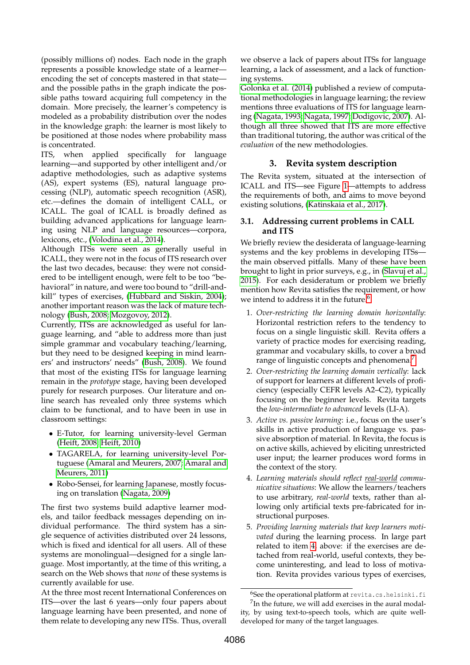(possibly millions of) nodes. Each node in the graph represents a possible knowledge state of a learner encoding the set of concepts mastered in that state and the possible paths in the graph indicate the possible paths toward acquiring full competency in the domain. More precisely, the learner's competency is modeled as a probability distribution over the nodes in the knowledge graph: the learner is most likely to be positioned at those nodes where probability mass is concentrated.

ITS, when applied specifically for language learning—and supported by other intelligent and/or adaptive methodologies, such as adaptive systems (AS), expert systems (ES), natural language processing (NLP), automatic speech recognition (ASR), etc.—defines the domain of intelligent CALL, or ICALL. The goal of ICALL is broadly defined as building advanced applications for language learning using NLP and language resources—corpora, lexicons, etc., [\(Volodina et al., 2014\)](#page-9-3).

Although ITSs were seen as generally useful in ICALL, they were not in the focus of ITS research over the last two decades, because: they were not considered to be intelligent enough, were felt to be too "behavioral" in nature, and were too bound to "drill-andkill" types of exercises, [\(Hubbard and Siskin, 2004\)](#page-8-12); another important reason was the lack of mature technology [\(Bush, 2008;](#page-7-1) [Mozgovoy, 2012\)](#page-8-13).

Currently, ITSs are acknowledged as useful for language learning, and "able to address more than just simple grammar and vocabulary teaching/learning, but they need to be designed keeping in mind learners' and instructors' needs" [\(Bush, 2008\)](#page-7-1). We found that most of the existing ITSs for language learning remain in the *prototype* stage, having been developed purely for research purposes. Our literature and online search has revealed only three systems which claim to be functional, and to have been in use in classroom settings:

- E-Tutor, for learning university-level German [\(Heift, 2008;](#page-8-14) [Heift, 2010\)](#page-8-15)
- TAGARELA, for learning university-level Portuguese [\(Amaral and Meurers, 2007;](#page-7-2) [Amaral and](#page-7-3) [Meurers, 2011\)](#page-7-3)
- Robo-Sensei, for learning Japanese, mostly focusing on translation [\(Nagata, 2009\)](#page-8-16)

The first two systems build adaptive learner models, and tailor feedback messages depending on individual performance. The third system has a single sequence of activities distributed over 24 lessons, which is fixed and identical for all users. All of these systems are monolingual—designed for a single language. Most importantly, at the time of this writing, a search on the Web shows that *none* of these systems is currently available for use.

At the three most recent International Conferences on ITS—over the last 6 years—only four papers about language learning have been presented, and none of them relate to developing any new ITSs. Thus, overall we observe a lack of papers about ITSs for language learning, a lack of assessment, and a lack of functioning systems.

[Golonka et al. \(2014\)](#page-8-17) published a review of computational methodologies in language learning; the review mentions three evaluations of ITS for language learning [\(Nagata, 1993;](#page-8-18) [Nagata, 1997;](#page-8-19) [Dodigovic, 2007\)](#page-8-20). Although all three showed that ITS are more effective than traditional tutoring, the author was critical of the *evaluation* of the new methodologies.

### **3. Revita system description**

<span id="page-2-0"></span>The Revita system, situated at the intersection of ICALL and ITS—see Figure [1—](#page-1-3)attempts to address the requirements of both, and aims to move beyond existing solutions, [\(Katinskaia et al., 2017\)](#page-8-21).

### **3.1. Addressing current problems in CALL and ITS**

We briefly review the desiderata of language-learning systems and the key problems in developing ITSs the main observed pitfalls. Many of these have been brought to light in prior surveys, e.g., in [\(Slavuj et al.,](#page-9-4) [2015\)](#page-9-4). For each desideratum or problem we briefly mention how Revita satisfies the requirement, or how we intend to address it in the future.<sup>[6](#page-2-1)</sup>

- 1. *Over-restricting the learning domain horizontally*: Horizontal restriction refers to the tendency to focus on a single linguistic skill. Revita offers a variety of practice modes for exercising reading, grammar and vocabulary skills, to cover a broad range of linguistic concepts and phenomena.<sup>[7](#page-2-2)</sup>
- 2. *Over-restricting the learning domain vertically*: lack of support for learners at different levels of proficiency (especially CEFR levels A2–C2), typically focusing on the beginner levels. Revita targets the *low-intermediate to advanced* levels (LI-A).
- 3. *Active vs. passive learning*: i.e., focus on the user's skills in active production of language vs. passive absorption of material. In Revita, the focus is on active skills, achieved by eliciting unrestricted user input; the learner produces word forms in the context of the story.
- <span id="page-2-3"></span>4. *Learning materials should reflect real-world communicative situations*: We allow the learners/teachers to use arbitrary, *real-world* texts, rather than allowing only artificial texts pre-fabricated for instructional purposes.
- <span id="page-2-4"></span>5. *Providing learning materials that keep learners motivated* during the learning process. In large part related to item [4,](#page-2-3) above: if the exercises are detached from real-world, useful contexts, they become uninteresting, and lead to loss of motivation. Revita provides various types of exercises,

<span id="page-2-2"></span><span id="page-2-1"></span> $6$ See the operational platform at revita.cs.helsinki.fi <sup>7</sup>In the future, we will add exercises in the aural modality, by using text-to-speech tools, which are quite welldeveloped for many of the target languages.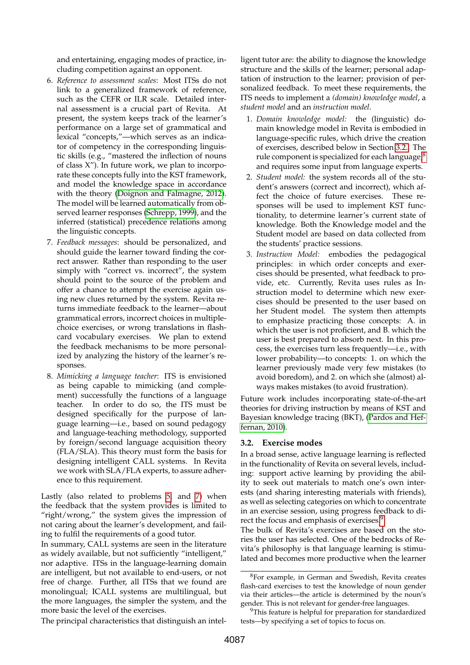and entertaining, engaging modes of practice, including competition against an opponent.

- 6. *Reference to assessment scales*: Most ITSs do not link to a generalized framework of reference, such as the CEFR or ILR scale. Detailed internal assessment is a crucial part of Revita. At present, the system keeps track of the learner's performance on a large set of grammatical and lexical "concepts,"—which serves as an indicator of competency in the corresponding linguistic skills (e.g., "mastered the inflection of nouns of class X"). In future work, we plan to incorporate these concepts fully into the KST framework, and model the knowledge space in accordance with the theory [\(Doignon and Falmagne, 2012\)](#page-8-9). The model will be learned automatically from observed learner responses [\(Schrepp, 1999\)](#page-8-22), and the inferred (statistical) precedence relations among the linguistic concepts.
- <span id="page-3-1"></span>7. *Feedback messages*: should be personalized, and should guide the learner toward finding the correct answer. Rather than responding to the user simply with "correct vs. incorrect", the system should point to the source of the problem and offer a chance to attempt the exercise again using new clues returned by the system. Revita returns immediate feedback to the learner—about grammatical errors, incorrect choices in multiplechoice exercises, or wrong translations in flashcard vocabulary exercises. We plan to extend the feedback mechanisms to be more personalized by analyzing the history of the learner's responses.
- 8. *Mimicking a language teacher*: ITS is envisioned as being capable to mimicking (and complement) successfully the functions of a language teacher. In order to do so, the ITS must be designed specifically for the purpose of language learning—i.e., based on sound pedagogy and language-teaching methodology, supported by foreign/second language acquisition theory (FLA/SLA). This theory must form the basis for designing intelligent CALL systems. In Revita we work with SLA/FLA experts, to assure adherence to this requirement.

Lastly (also related to problems [5,](#page-2-4) and [7\)](#page-3-1) when the feedback that the system provides is limited to "right/wrong," the system gives the impression of not caring about the learner's development, and failing to fulfil the requirements of a good tutor.

In summary, CALL systems are seen in the literature as widely available, but not sufficiently "intelligent," nor adaptive. ITSs in the language-learning domain are intelligent, but not available to end-users, or not free of charge. Further, all ITSs that we found are monolingual; ICALL systems are multilingual, but the more languages, the simpler the system, and the more basic the level of the exercises.

ligent tutor are: the ability to diagnose the knowledge structure and the skills of the learner; personal adaptation of instruction to the learner; provision of personalized feedback. To meet these requirements, the ITS needs to implement a *(domain) knowledge model*, a *student model* and an *instruction model*.

- 1. *Domain knowledge model:* the (linguistic) domain knowledge model in Revita is embodied in language-specific rules, which drive the creation of exercises, described below in Section [3.2..](#page-4-0) The rule component is specialized for each language, $8<sup>8</sup>$  $8<sup>8</sup>$ and requires some input from language experts.
- 2. *Student model:* the system records all of the student's answers (correct and incorrect), which affect the choice of future exercises. These responses will be used to implement KST functionality, to determine learner's current state of knowledge. Both the Knowledge model and the Student model are based on data collected from the students' practice sessions.
- 3. *Instruction Model:* embodies the pedagogical principles: in which order concepts and exercises should be presented, what feedback to provide, etc. Currently, Revita uses rules as Instruction model to determine which new exercises should be presented to the user based on her Student model. The system then attempts to emphasize practicing those concepts: A. in which the user is not proficient, and B. which the user is best prepared to absorb next. In this process, the exercises turn less frequently—i.e., with lower probability—to concepts: 1. on which the learner previously made very few mistakes (to avoid boredom), and 2. on which she (almost) always makes mistakes (to avoid frustration).

Future work includes incorporating state-of-the-art theories for driving instruction by means of KST and Bayesian knowledge tracing (BKT), [\(Pardos and Hef](#page-8-23)[fernan, 2010\)](#page-8-23).

### <span id="page-3-0"></span>**3.2. Exercise modes**

In a broad sense, active language learning is reflected in the functionality of Revita on several levels, including: support active learning by providing the ability to seek out materials to match one's own interests (and sharing interesting materials with friends), as well as selecting categories on which to concentrate in an exercise session, using progress feedback to di-rect the focus and emphasis of exercises.<sup>[9](#page-3-3)</sup>

The bulk of Revita's exercises are based on the stories the user has selected. One of the bedrocks of Revita's philosophy is that language learning is stimulated and becomes more productive when the learner

The principal characteristics that distinguish an intel-

<span id="page-3-3"></span><sup>9</sup>This feature is helpful for preparation for standardized tests—by specifying a set of topics to focus on.

<span id="page-3-2"></span><sup>8</sup>For example, in German and Swedish, Revita creates flash-card exercises to test the knowledge of noun gender via their articles—the article is determined by the noun's gender. This is not relevant for gender-free languages.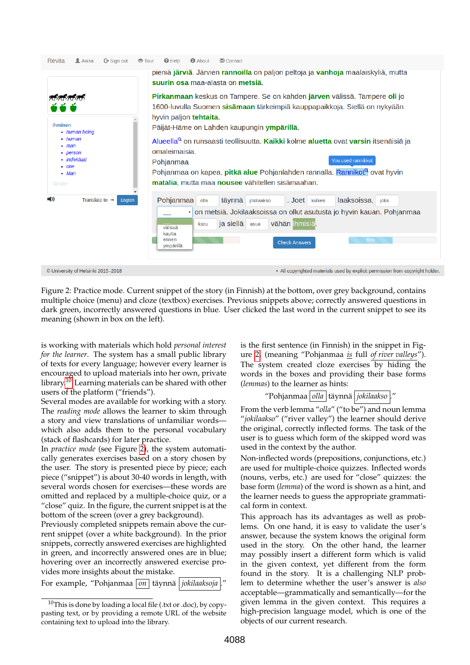

<span id="page-4-0"></span>Figure 2: Practice mode. Current snippet of the story (in Finnish) at the bottom, over grey background, contains multiple choice (menu) and cloze (textbox) exercises. Previous snippets above; correctly answered questions in dark green, incorrectly answered questions in blue. User clicked the last word in the current snippet to see its meaning (shown in box on the left).

is working with materials which hold *personal interest for the learner*. The system has a small public library of texts for every language; however every learner is encouraged to upload materials into her own, private library.<sup>[10](#page-4-1)</sup> Learning materials can be shared with other users of the platform ("friends").

Several modes are available for working with a story. The *reading mode* allows the learner to skim through a story and view translations of unfamiliar words which also adds them to the personal vocabulary (stack of flashcards) for later practice.

In *practice mode* (see Figure [2\)](#page-4-0), the system automatically generates exercises based on a story chosen by the user. The story is presented piece by piece; each piece ("snippet") is about 30-40 words in length, with several words chosen for exercises—these words are omitted and replaced by a multiple-choice quiz, or a "close" quiz. In the figure, the current snippet is at the bottom of the screen (over a grey background).

Previously completed snippets remain above the current snippet (over a white background). In the prior snippets, correctly answered exercises are highlighted in green, and incorrectly answered ones are in blue; hovering over an incorrectly answered exercise provides more insights about the mistake.

For example, "Pohjanmaa *on* täynnä *jokilaaksoja* 

is the first sentence (in Finnish) in the snippet in Figure [2,](#page-4-0) (meaning "Pohjanmaa *is* full *of river valleys*"). The system created cloze exercises by hiding the words in the boxes and providing their base forms (*lemmas*) to the learner as hints:

# "Pohjanmaa *| olla* | täynnä *| jokilaakso*

From the verb lemma "*olla*" ("to be") and noun lemma "*jokilaakso*" ("river valley") the learner should derive the original, correctly inflected forms. The task of the user is to guess which form of the skipped word was used in the context by the author.

Non-inflected words (prepositions, conjunctions, etc.) are used for multiple-choice quizzes. Inflected words (nouns, verbs, etc.) are used for "close" quizzes: the base form (*lemma*) of the word is shown as a hint, and the learner needs to guess the appropriate grammatical form in context.

This approach has its advantages as well as problems. On one hand, it is easy to validate the user's answer, because the system knows the original form used in the story. On the other hand, the learner may possibly insert a different form which is valid in the given context, yet different from the form found in the story. It is a challenging NLP problem to determine whether the user's answer is *also* acceptable—grammatically and semantically—for the given lemma in the given context. This requires a high-precision language model, which is one of the objects of our current research.

<span id="page-4-1"></span> $10$ This is done by loading a local file (.txt or .doc), by copypasting text, or by providing a remote URL of the website containing text to upload into the library.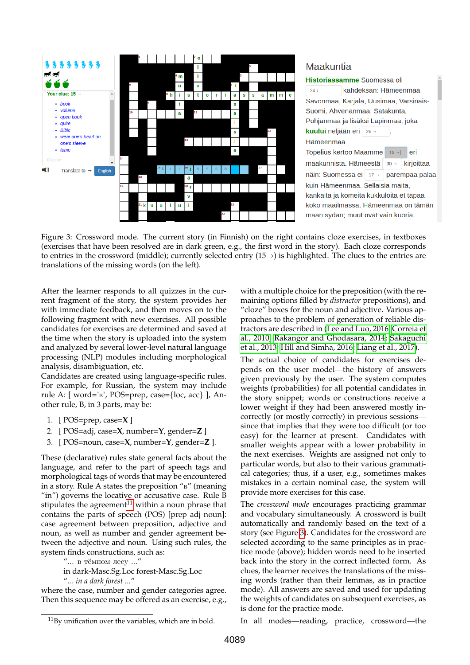

# Maakuntia



<span id="page-5-1"></span>Figure 3: Crossword mode. The current story (in Finnish) on the right contains cloze exercises, in textboxes (exercises that have been resolved are in dark green, e.g., the first word in the story). Each cloze corresponds to entries in the crossword (middle); currently selected entry (15→) is highlighted. The clues to the entries are translations of the missing words (on the left).

After the learner responds to all quizzes in the current fragment of the story, the system provides her with immediate feedback, and then moves on to the following fragment with new exercises. All possible candidates for exercises are determined and saved at the time when the story is uploaded into the system and analyzed by several lower-level natural language processing (NLP) modules including morphological analysis, disambiguation, etc.

Candidates are created using language-specific rules. For example, for Russian, the system may include rule A: [ word='в', POS=prep, case={loc, acc} ], Another rule, B, in 3 parts, may be:

- 1. [ POS=prep, case=**X** ]
- 2. [ POS=adj, case=**X**, number=**Y**, gender=**Z** ]
- 3. [ POS=noun, case=**X**, number=**Y**, gender=**Z** ].

These (declarative) rules state general facts about the language, and refer to the part of speech tags and morphological tags of words that may be encountered in a story. Rule A states the preposition "в" (meaning "in") governs the locative or accusative case. Rule B stipulates the agreement $^{11}$  $^{11}$  $^{11}$  within a noun phrase that contains the parts of speech (POS) [prep adj noun]: case agreement between preposition, adjective and noun, as well as number and gender agreement between the adjective and noun. Using such rules, the system finds constructions, such as:

"... в тёмном лесу ..."

in dark-Masc.Sg.Loc forest-Masc.Sg.Loc

"*... in a dark forest ...*"

where the case, number and gender categories agree. Then this sequence may be offered as an exercise, e.g., with a multiple choice for the preposition (with the remaining options filled by *distractor* prepositions), and "cloze" boxes for the noun and adjective. Various approaches to the problem of generation of reliable distractors are described in [\(Lee and Luo, 2016;](#page-8-24) [Correia et](#page-8-25) [al., 2010;](#page-8-25) [Rakangor and Ghodasara, 2014;](#page-8-26) [Sakaguchi](#page-8-27) [et al., 2013;](#page-8-27) [Hill and Simha, 2016;](#page-8-28) [Liang et al., 2017\)](#page-8-29).

The actual choice of candidates for exercises depends on the user model—the history of answers given previously by the user. The system computes weights (probabilities) for all potential candidates in the story snippet; words or constructions receive a lower weight if they had been answered mostly incorrectly (or mostly correctly) in previous sessions since that implies that they were too difficult (or too easy) for the learner at present. Candidates with smaller weights appear with a lower probability in the next exercises. Weights are assigned not only to particular words, but also to their various grammatical categories; thus, if a user, e.g., sometimes makes mistakes in a certain nominal case, the system will provide more exercises for this case.

The *crossword mode* encourages practicing grammar and vocabulary simultaneously. A crossword is built automatically and randomly based on the text of a story (see Figure [3\)](#page-5-1). Candidates for the crossword are selected according to the same principles as in practice mode (above); hidden words need to be inserted back into the story in the correct inflected form. As clues, the learner receives the translations of the missing words (rather than their lemmas, as in practice mode). All answers are saved and used for updating the weights of candidates on subsequent exercises, as is done for the practice mode.

In all modes—reading, practice, crossword—the

<span id="page-5-0"></span><sup>11</sup>By unification over the variables, which are in bold.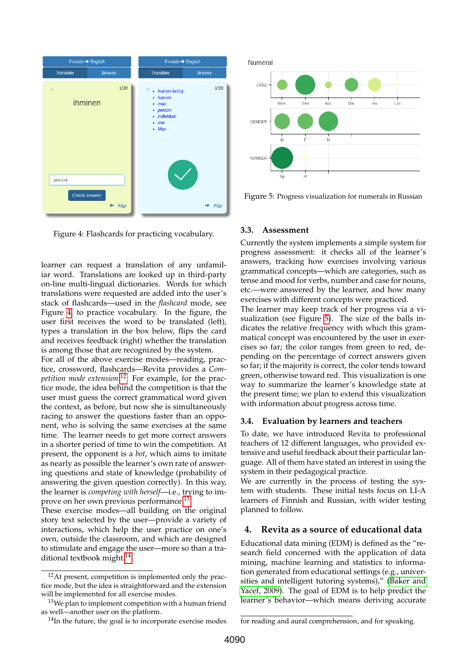

<span id="page-6-1"></span>Figure 4: Flashcards for practicing vocabulary.

learner can request a translation of any unfamiliar word. Translations are looked up in third-party on-line multi-lingual dictionaries. Words for which translations were requested are added into the user's stack of flashcards—used in the *flashcard* mode, see Figure [4,](#page-6-1) to practice vocabulary. In the figure, the user first receives the word to be translated (left), types a translation in the box below, flips the card and receives feedback (right) whether the translation is among those that are recognized by the system.

For all of the above exercise modes—reading, practice, crossword, flashcards—Revita provides a *Competition mode extension*. [12](#page-6-2) For example, for the practice mode, the idea behind the competition is that the user must guess the correct grammatical word given the context, as before, but now she is simultaneously racing to answer the questions faster than an opponent, who is solving the same exercises at the same time. The learner needs to get more correct answers in a shorter period of time to win the competition. At present, the opponent is a *bot*, which aims to imitate as nearly as possible the learner's own rate of answering questions and state of knowledge (probability of answering the given question correctly). In this way, the learner is *competing with herself*—i.e., trying to im-prove on her own previous performance.<sup>[13](#page-6-3)</sup>

These exercise modes—all building on the original story text selected by the user—provide a variety of interactions, which help the user practice on one's own, outside the classroom, and which are designed to stimulate and engage the user—more so than a tra-ditional textbook might.<sup>[14](#page-6-4)</sup>



<span id="page-6-5"></span>Figure 5: Progress visualization for numerals in Russian

#### **3.3. Assessment**

Currently the system implements a simple system for progress assessment: it checks all of the learner's answers, tracking how exercises involving various grammatical concepts—which are categories, such as tense and mood for verbs, number and case for nouns, etc.—were answered by the learner, and how many exercises with different concepts were practiced.

The learner may keep track of her progress via a visualization (see Figure [5\)](#page-6-5). The size of the balls indicates the relative frequency with which this grammatical concept was encountered by the user in exercises so far; the color ranges from green to red, depending on the percentage of correct answers given so far; if the majority is correct, the color tends toward green, otherwise toward red. This visualization is one way to summarize the learner's knowledge state at the present time; we plan to extend this visualization with information about progress across time.

### **3.4. Evaluation by learners and teachers**

To date, we have introduced Revita to professional teachers of 12 different languages, who provided extensive and useful feedback about their particular language. All of them have stated an interest in using the system in their pedagogical practice.

We are currently in the process of testing the system with students. These initial tests focus on LI-A learners of Finnish and Russian, with wider testing planned to follow.

### <span id="page-6-0"></span>**4. Revita as a source of educational data**

Educational data mining (EDM) is defined as the "research field concerned with the application of data mining, machine learning and statistics to information generated from educational settings (e.g., universities and intelligent tutoring systems)," [\(Baker and](#page-7-4) [Yacef, 2009\)](#page-7-4). The goal of EDM is to help predict the learner's behavior—which means deriving accurate

<span id="page-6-2"></span> $12$ At present, competition is implemented only the practice mode, but the idea is straightforward and the extension will be implemented for all exercise modes.

<span id="page-6-3"></span> $13$ We plan to implement competition with a human friend as well—another user on the platform.

<span id="page-6-4"></span><sup>&</sup>lt;sup>14</sup>In the future, the goal is to incorporate exercise modes

for reading and aural comprehension, and for speaking.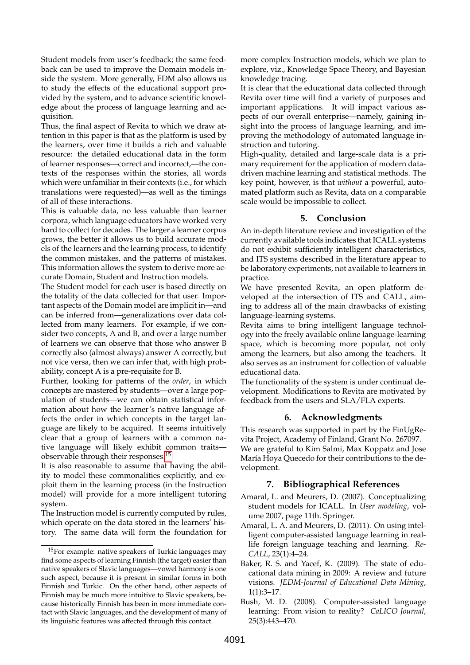Student models from user's feedback; the same feedback can be used to improve the Domain models inside the system. More generally, EDM also allows us to study the effects of the educational support provided by the system, and to advance scientific knowledge about the process of language learning and acquisition.

Thus, the final aspect of Revita to which we draw attention in this paper is that as the platform is used by the learners, over time it builds a rich and valuable resource: the detailed educational data in the form of learner responses—correct and incorrect,—the contexts of the responses within the stories, all words which were unfamiliar in their contexts (i.e., for which translations were requested)—as well as the timings of all of these interactions.

This is valuable data, no less valuable than learner corpora, which language educators have worked very hard to collect for decades. The larger a learner corpus grows, the better it allows us to build accurate models of the learners and the learning process, to identify the common mistakes, and the patterns of mistakes. This information allows the system to derive more accurate Domain, Student and Instruction models.

The Student model for each user is based directly on the totality of the data collected for that user. Important aspects of the Domain model are implicit in—and can be inferred from—generalizations over data collected from many learners. For example, if we consider two concepts, A and B, and over a large number of learners we can observe that those who answer B correctly also (almost always) answer A correctly, but not vice versa, then we can infer that, with high probability, concept A is a pre-requisite for B.

Further, looking for patterns of the *order*, in which concepts are mastered by students—over a large population of students—we can obtain statistical information about how the learner's native language affects the order in which concepts in the target language are likely to be acquired. It seems intuitively clear that a group of learners with a common native language will likely exhibit common traits observable through their responses.[15](#page-7-5)

It is also reasonable to assume that having the ability to model these commonalities explicitly, and exploit them in the learning process (in the Instruction model) will provide for a more intelligent tutoring system.

The Instruction model is currently computed by rules, which operate on the data stored in the learners' history. The same data will form the foundation for more complex Instruction models, which we plan to explore, viz., Knowledge Space Theory, and Bayesian knowledge tracing.

It is clear that the educational data collected through Revita over time will find a variety of purposes and important applications. It will impact various aspects of our overall enterprise—namely, gaining insight into the process of language learning, and improving the methodology of automated language instruction and tutoring.

High-quality, detailed and large-scale data is a primary requirement for the application of modern datadriven machine learning and statistical methods. The key point, however, is that *without* a powerful, automated platform such as Revita, data on a comparable scale would be impossible to collect.

## **5. Conclusion**

<span id="page-7-0"></span>An in-depth literature review and investigation of the currently available tools indicates that ICALL systems do not exhibit sufficiently intelligent characteristics, and ITS systems described in the literature appear to be laboratory experiments, not available to learners in practice.

We have presented Revita, an open platform developed at the intersection of ITS and CALL, aiming to address all of the main drawbacks of existing language-learning systems.

Revita aims to bring intelligent language technology into the freely available online language-learning space, which is becoming more popular, not only among the learners, but also among the teachers. It also serves as an instrument for collection of valuable educational data.

The functionality of the system is under continual development. Modifications to Revita are motivated by feedback from the users and SLA/FLA experts.

## **6. Acknowledgments**

This research was supported in part by the FinUgRevita Project, Academy of Finland, Grant No. 267097. We are grateful to Kim Salmi, Max Koppatz and Jose María Hoya Quecedo for their contributions to the development.

## **7. Bibliographical References**

- <span id="page-7-2"></span>Amaral, L. and Meurers, D. (2007). Conceptualizing student models for ICALL. In *User modeling*, volume 2007, page 11th. Springer.
- <span id="page-7-3"></span>Amaral, L. A. and Meurers, D. (2011). On using intelligent computer-assisted language learning in reallife foreign language teaching and learning. *Re-CALL*, 23(1):4–24.
- <span id="page-7-4"></span>Baker, R. S. and Yacef, K. (2009). The state of educational data mining in 2009: A review and future visions. *JEDM-Journal of Educational Data Mining*, 1(1):3–17.
- <span id="page-7-1"></span>Bush, M. D. (2008). Computer-assisted language learning: From vision to reality? *CaLICO Journal*, 25(3):443–470.

<span id="page-7-5"></span><sup>15</sup>For example: native speakers of Turkic languages may find some aspects of learning Finnish (the target) easier than native speakers of Slavic languages—vowel harmony is one such aspect, because it is present in similar forms in both Finnish and Turkic. On the other hand, other aspects of Finnish may be much more intuitive to Slavic speakers, because historically Finnish has been in more immediate contact with Slavic languages, and the development of many of its linguistic features was affected through this contact.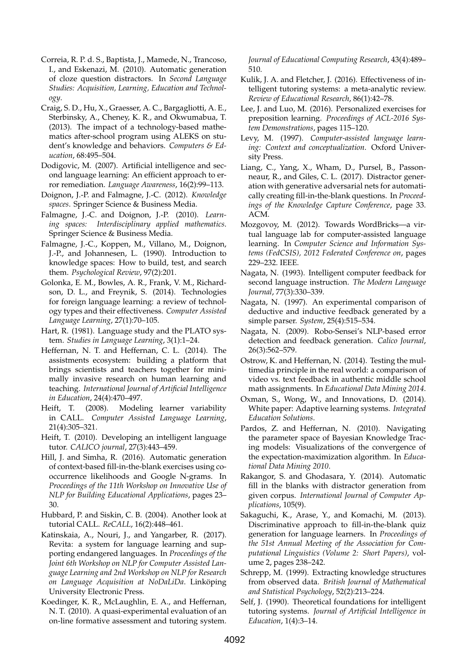- <span id="page-8-25"></span>Correia, R. P. d. S., Baptista, J., Mamede, N., Trancoso, I., and Eskenazi, M. (2010). Automatic generation of cloze question distractors. In *Second Language Studies: Acquisition, Learning, Education and Technology*.
- <span id="page-8-6"></span>Craig, S. D., Hu, X., Graesser, A. C., Bargagliotti, A. E., Sterbinsky, A., Cheney, K. R., and Okwumabua, T. (2013). The impact of a technology-based mathematics after-school program using ALEKS on student's knowledge and behaviors. *Computers & Education*, 68:495–504.
- <span id="page-8-20"></span>Dodigovic, M. (2007). Artificial intelligence and second language learning: An efficient approach to error remediation. *Language Awareness*, 16(2):99–113.
- <span id="page-8-9"></span>Doignon, J.-P. and Falmagne, J.-C. (2012). *Knowledge spaces*. Springer Science & Business Media.
- <span id="page-8-10"></span>Falmagne, J.-C. and Doignon, J.-P. (2010). *Learning spaces: Interdisciplinary applied mathematics*. Springer Science & Business Media.
- <span id="page-8-11"></span>Falmagne, J.-C., Koppen, M., Villano, M., Doignon, J.-P., and Johannesen, L. (1990). Introduction to knowledge spaces: How to build, test, and search them. *Psychological Review*, 97(2):201.
- <span id="page-8-17"></span>Golonka, E. M., Bowles, A. R., Frank, V. M., Richardson, D. L., and Freynik, S. (2014). Technologies for foreign language learning: a review of technology types and their effectiveness. *Computer Assisted Language Learning*, 27(1):70–105.
- <span id="page-8-1"></span>Hart, R. (1981). Language study and the PLATO system. *Studies in Language Learning*, 3(1):1–24.
- <span id="page-8-8"></span>Heffernan, N. T. and Heffernan, C. L. (2014). The assistments ecosystem: building a platform that brings scientists and teachers together for minimally invasive research on human learning and teaching. *International Journal of Artificial Intelligence in Education*, 24(4):470–497.
- <span id="page-8-14"></span>Heift, T. (2008). Modeling learner variability in CALL. *Computer Assisted Language Learning*, 21(4):305–321.
- <span id="page-8-15"></span>Heift, T. (2010). Developing an intelligent language tutor. *CALICO journal*, 27(3):443–459.
- <span id="page-8-28"></span>Hill, J. and Simha, R. (2016). Automatic generation of context-based fill-in-the-blank exercises using cooccurrence likelihoods and Google N-grams. In *Proceedings of the 11th Workshop on Innovative Use of NLP for Building Educational Applications*, pages 23– 30.
- <span id="page-8-12"></span>Hubbard, P. and Siskin, C. B. (2004). Another look at tutorial CALL. *ReCALL*, 16(2):448–461.
- <span id="page-8-21"></span>Katinskaia, A., Nouri, J., and Yangarber, R. (2017). Revita: a system for language learning and supporting endangered languages. In *Proceedings of the Joint 6th Workshop on NLP for Computer Assisted Language Learning and 2nd Workshop on NLP for Research on Language Acquisition at NoDaLiDa*. Linkoping ¨ University Electronic Press.
- <span id="page-8-7"></span>Koedinger, K. R., McLaughlin, E. A., and Heffernan, N. T. (2010). A quasi-experimental evaluation of an on-line formative assessment and tutoring system.

*Journal of Educational Computing Research*, 43(4):489– 510.

- <span id="page-8-3"></span>Kulik, J. A. and Fletcher, J. (2016). Effectiveness of intelligent tutoring systems: a meta-analytic review. *Review of Educational Research*, 86(1):42–78.
- <span id="page-8-24"></span>Lee, J. and Luo, M. (2016). Personalized exercises for preposition learning. *Proceedings of ACL-2016 System Demonstrations*, pages 115–120.
- <span id="page-8-0"></span>Levy, M. (1997). *Computer-assisted language learning: Context and conceptualization*. Oxford University Press.
- <span id="page-8-29"></span>Liang, C., Yang, X., Wham, D., Pursel, B., Passonneaur, R., and Giles, C. L. (2017). Distractor generation with generative adversarial nets for automatically creating fill-in-the-blank questions. In *Proceedings of the Knowledge Capture Conference*, page 33. ACM.
- <span id="page-8-13"></span>Mozgovoy, M. (2012). Towards WordBricks—a virtual language lab for computer-assisted language learning. In *Computer Science and Information Systems (FedCSIS), 2012 Federated Conference on*, pages 229–232. IEEE.
- <span id="page-8-18"></span>Nagata, N. (1993). Intelligent computer feedback for second language instruction. *The Modern Language Journal*, 77(3):330–339.
- <span id="page-8-19"></span>Nagata, N. (1997). An experimental comparison of deductive and inductive feedback generated by a simple parser. *System*, 25(4):515–534.
- <span id="page-8-16"></span>Nagata, N. (2009). Robo-Sensei's NLP-based error detection and feedback generation. *Calico Journal*, 26(3):562–579.
- <span id="page-8-5"></span>Ostrow, K. and Heffernan, N. (2014). Testing the multimedia principle in the real world: a comparison of video vs. text feedback in authentic middle school math assignments. In *Educational Data Mining 2014*.
- <span id="page-8-4"></span>Oxman, S., Wong, W., and Innovations, D. (2014). White paper: Adaptive learning systems. *Integrated Education Solutions*.
- <span id="page-8-23"></span>Pardos, Z. and Heffernan, N. (2010). Navigating the parameter space of Bayesian Knowledge Tracing models: Visualizations of the convergence of the expectation-maximization algorithm. In *Educational Data Mining 2010*.
- <span id="page-8-26"></span>Rakangor, S. and Ghodasara, Y. (2014). Automatic fill in the blanks with distractor generation from given corpus. *International Journal of Computer Applications*, 105(9).
- <span id="page-8-27"></span>Sakaguchi, K., Arase, Y., and Komachi, M. (2013). Discriminative approach to fill-in-the-blank quiz generation for language learners. In *Proceedings of the 51st Annual Meeting of the Association for Computational Linguistics (Volume 2: Short Papers)*, volume 2, pages 238–242.
- <span id="page-8-22"></span>Schrepp, M. (1999). Extracting knowledge structures from observed data. *British Journal of Mathematical and Statistical Psychology*, 52(2):213–224.
- <span id="page-8-2"></span>Self, J. (1990). Theoretical foundations for intelligent tutoring systems. *Journal of Artificial Intelligence in Education*, 1(4):3–14.